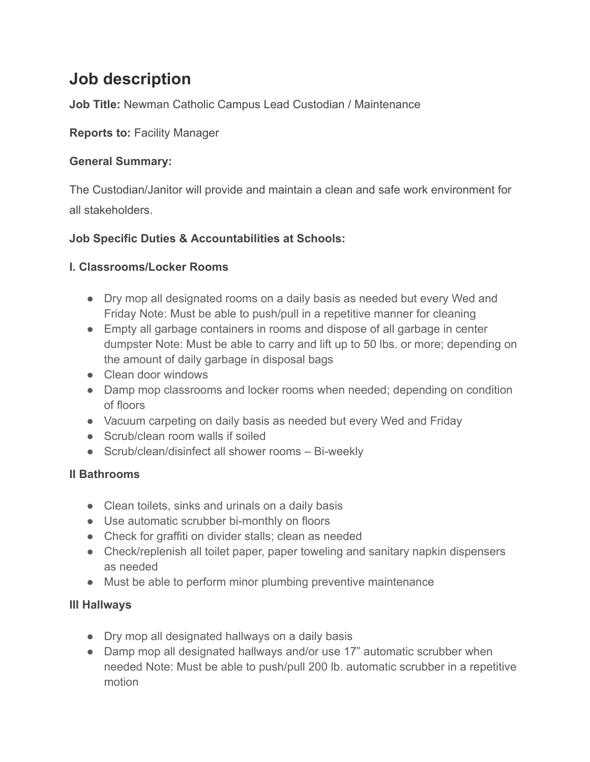# **Job description**

**Job Title:** Newman Catholic Campus Lead Custodian / Maintenance

**Reports to:** Facility Manager

### **General Summary:**

The Custodian/Janitor will provide and maintain a clean and safe work environment for all stakeholders.

## **Job Specific Duties & Accountabilities at Schools:**

#### **I. Classrooms/Locker Rooms**

- Dry mop all designated rooms on a daily basis as needed but every Wed and Friday Note: Must be able to push/pull in a repetitive manner for cleaning
- Empty all garbage containers in rooms and dispose of all garbage in center dumpster Note: Must be able to carry and lift up to 50 lbs. or more; depending on the amount of daily garbage in disposal bags
- Clean door windows
- Damp mop classrooms and locker rooms when needed; depending on condition of floors
- Vacuum carpeting on daily basis as needed but every Wed and Friday
- Scrub/clean room walls if soiled
- Scrub/clean/disinfect all shower rooms Bi-weekly

## **II Bathrooms**

- Clean toilets, sinks and urinals on a daily basis
- Use automatic scrubber bi-monthly on floors
- Check for graffiti on divider stalls; clean as needed
- Check/replenish all toilet paper, paper toweling and sanitary napkin dispensers as needed
- Must be able to perform minor plumbing preventive maintenance

#### **III Hallways**

- Dry mop all designated hallways on a daily basis
- Damp mop all designated hallways and/or use 17" automatic scrubber when needed Note: Must be able to push/pull 200 lb. automatic scrubber in a repetitive motion